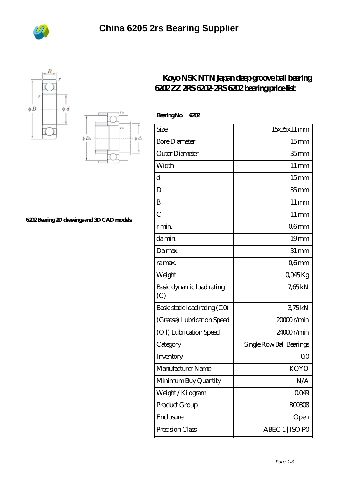





## **[6202 Bearing 2D drawings and 3D CAD models](https://m.bi-countytransitway.com/pic-820970.html)**

## **[Koyo NSK NTN Japan deep groove ball bearing](https://m.bi-countytransitway.com/nsk-6204du-bearing/koyo-6202.html) [6202 ZZ 2RS 6202-2RS 6202 bearing price list](https://m.bi-countytransitway.com/nsk-6204du-bearing/koyo-6202.html)**

| BearingNo.<br>6202               |                          |
|----------------------------------|--------------------------|
| Size                             | 15x35x11 mm              |
| <b>Bore Diameter</b>             | 15mm                     |
| Outer Diameter                   | 35 <sub>mm</sub>         |
| Width                            | $11 \,\mathrm{mm}$       |
| d                                | 15 <sub>mm</sub>         |
| D                                | 35 <sub>mm</sub>         |
| B                                | $11 \,\mathrm{mm}$       |
| $\overline{C}$                   | $11 \,\mathrm{mm}$       |
| r min.                           | Q6mm                     |
| da min.                          | 19mm                     |
| Damax.                           | $31 \, \text{mm}$        |
| ra max.                          | Q6mm                     |
| Weight                           | 0045Kg                   |
| Basic dynamic load rating<br>(C) | 7,65kN                   |
| Basic static load rating (CO)    | 375kN                    |
| (Grease) Lubrication Speed       | 2000 <sub>r/min</sub>    |
| (Oil) Lubrication Speed          | 24000r/min               |
| Category                         | Single Row Ball Bearings |
| Inventory                        | 0 <sup>0</sup>           |
| Manufacturer Name                | KOYO                     |
| Minimum Buy Quantity             | N/A                      |
| Weight / Kilogram                | 0049                     |
| Product Group                    | <b>BOO3O8</b>            |
| Enclosure                        | Open                     |
| Precision Class                  | ABEC 1   ISO PO          |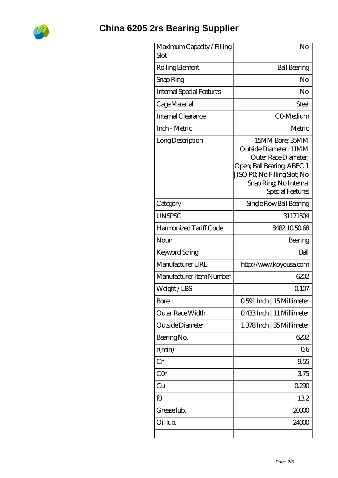

## **[China 6205 2rs Bearing Supplier](https://m.bi-countytransitway.com)**

| Maximum Capacity / Filling<br>Slot | No                                                                                                                                                                           |
|------------------------------------|------------------------------------------------------------------------------------------------------------------------------------------------------------------------------|
| Rolling Element                    | <b>Ball Bearing</b>                                                                                                                                                          |
| Snap Ring                          | No                                                                                                                                                                           |
| <b>Internal Special Features</b>   | No                                                                                                                                                                           |
| Cage Material                      | Steel                                                                                                                                                                        |
| Internal Clearance                 | CO-Medium                                                                                                                                                                    |
| Inch - Metric                      | Metric                                                                                                                                                                       |
| Long Description                   | 15MM Bore; 35MM<br>Outside Diameter; 11MM<br>Outer Race Diameter:<br>Open; Ball Bearing; ABEC 1<br>ISO PO, No Filling Slot; No<br>Snap Ring, No Internal<br>Special Features |
| Category                           | Single Row Ball Bearing                                                                                                                                                      |
| <b>UNSPSC</b>                      | 31171504                                                                                                                                                                     |
| Harmonized Tariff Code             | 8482105068                                                                                                                                                                   |
| Noun                               | Bearing                                                                                                                                                                      |
| <b>Keyword String</b>              | Ball                                                                                                                                                                         |
| Manufacturer URL                   | http://www.koyousa.com                                                                                                                                                       |
| Manufacturer Item Number           | 6202                                                                                                                                                                         |
| Weight/LBS                         | Q 107                                                                                                                                                                        |
| <b>Bore</b>                        | 0.591 Inch   15 Millimeter                                                                                                                                                   |
| Outer Race Width                   | Q433Inch   11 Millimeter                                                                                                                                                     |
| Outside Diameter                   | 1.378Inch   35 Millimeter                                                                                                                                                    |
| Bearing No.                        | 6202                                                                                                                                                                         |
| r(min)                             | 06                                                                                                                                                                           |
| Cr                                 | 9.55                                                                                                                                                                         |
| CQr                                | 375                                                                                                                                                                          |
| Cu                                 | 0290                                                                                                                                                                         |
| fO                                 | 132                                                                                                                                                                          |
| Grease lub.                        | 2000                                                                                                                                                                         |
| Oil lub.                           | 24000                                                                                                                                                                        |
|                                    |                                                                                                                                                                              |